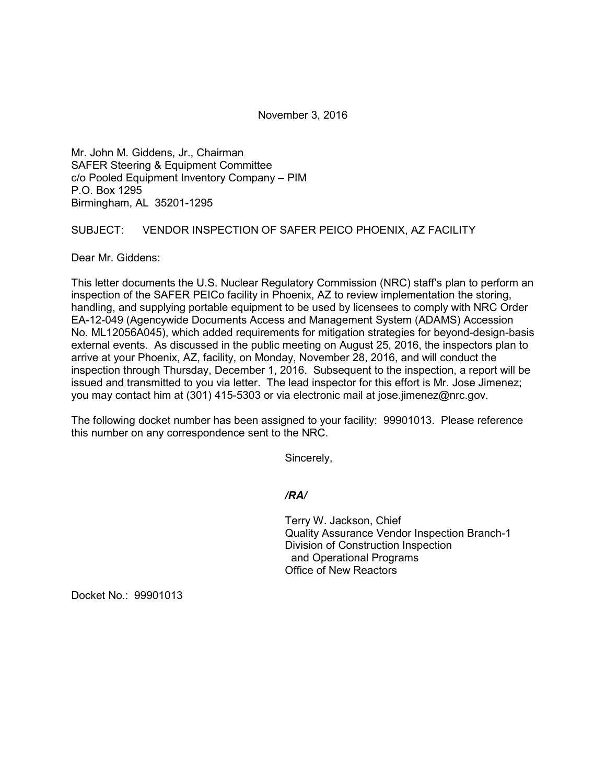November 3, 2016

Mr. John M. Giddens, Jr., Chairman SAFER Steering & Equipment Committee c/o Pooled Equipment Inventory Company – PIM P.O. Box 1295 Birmingham, AL 35201-1295

## SUBJECT: VENDOR INSPECTION OF SAFER PEICO PHOENIX, AZ FACILITY

Dear Mr. Giddens:

This letter documents the U.S. Nuclear Regulatory Commission (NRC) staff's plan to perform an inspection of the SAFER PEICo facility in Phoenix, AZ to review implementation the storing, handling, and supplying portable equipment to be used by licensees to comply with NRC Order EA-12-049 (Agencywide Documents Access and Management System (ADAMS) Accession No. ML12056A045), which added requirements for mitigation strategies for beyond-design-basis external events. As discussed in the public meeting on August 25, 2016, the inspectors plan to arrive at your Phoenix, AZ, facility, on Monday, November 28, 2016, and will conduct the inspection through Thursday, December 1, 2016. Subsequent to the inspection, a report will be issued and transmitted to you via letter. The lead inspector for this effort is Mr. Jose Jimenez; you may contact him at (301) 415-5303 or via electronic mail at jose.jimenez@nrc.gov.

The following docket number has been assigned to your facility: 99901013. Please reference this number on any correspondence sent to the NRC.

Sincerely,

## */RA/*

Terry W. Jackson, Chief Quality Assurance Vendor Inspection Branch-1 Division of Construction Inspection and Operational Programs Office of New Reactors

Docket No.: 99901013